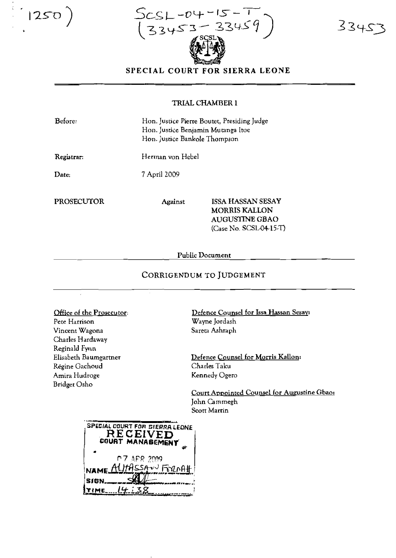$\bigcap 250$ 

 $-12$ 33459 3345

 $3345$ 

## SPECIAL COURT FOR SIERRA LEONE

## TRIAL CHAMBER 1

| Before:    |                  | Hon. Justice Pierre Boutet, Presiding Judge<br>Hon. Justice Benjamin Mutanga Itoe<br>Hon. Justice Bankole Thompson |  |
|------------|------------------|--------------------------------------------------------------------------------------------------------------------|--|
| Registrar: | Herman von Hebel |                                                                                                                    |  |
| Date:      | 7 April 2009     |                                                                                                                    |  |
| PROSECUTOR | Against          | <b>ISSA HASSAN SESAY</b><br><b>MORRIS KALLON</b>                                                                   |  |
|            |                  | AUGUSTINE GBAO                                                                                                     |  |

Public Document

## CORRIGENDUM TO JUDGEMENT

Office of the Prosecutor:

 $\bar{\bar{z}}$ 

Pete Harrison Vincent Wagona Charles Hardaway Reginald Fynn Elisabeth Baumgartner Régine Gachoud Amira Hudroge **Bridget Osho** 

Defence Counsel for Issa Hassan Sesay: Wayne Jordash Sareta Ashraph

(Case No. SCSL-04-15-T)

Defence Counsel for Morris Kallon: Charles Taku Kennedy Ogero

Court Appointed Counsel for Augustine Gbao: John Cammegh Scott Martin

| SPECIAL COURT FOR SIERRA LEONE<br>RECEIVED<br>COURT MANABEMENT |
|----------------------------------------------------------------|
| <b>P.7 APR 2009</b><br>NAME ALITASSAN FORDAH.                  |
| SJGN.                                                          |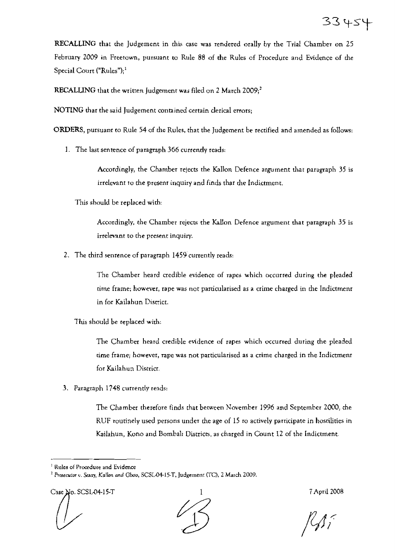RECALLING that the Judgement in this case was rendered orally by the Trial Chamber on 25 February 2009 in Freetown, pursuant to Rule 88 of the Rules of Procedure and Evidence of me Special Court ("Rules");<sup>1</sup>

RECALLING that the written Judgement was filed on 2 March 2009; $^{2}$ 

NOTING thar the said Judgement contained certain clerical errors;

ORDERS, pursuanr to Rule 54 of me Rules, that the Judgement be rectified and amended as follows:

1. The last sentence of paragraph 366 currently reads:

Accordingly, the Chamber rejects the Kallon Defence argument that paragraph 35 is irrelevant to the present inquiry and finds that the Indictment.

This should be replaced wim:

Accordingly, the Chamber rejects the Kallon Defence argument that paragraph 35 is irrelevant to the present inquiry.

2. The chird senrence of paragraph 1459 currently reads:

The Chamber heard credible evidence of rapes which occurred during the pleaded rime frame; however, rape was not parcicularised as a crime charged in me Indictmenr in for Kailahun District.

1his should be replaced with:

The Chamber heard credible evidence of rapes which occurred during the pleaded time frame; however, rape was not particularised as a crime charged in rhe Indictmenr for Kailahun District.

3. Paragraph 1748 currently reads:

The Chamber therefore finds that between November 1996 and September 2000, the RUF routinely used persons under the age of  $15$  ro actively parricipate in hostilities in Kailahun, Kono and Bombali Districts, as charged in Count 12 of the Indictment.

Case No. SCSL-04-15-T 1 7 April 2008



 $<sup>1</sup>$  Rules of Procedute and Evidence</sup>

<sup>&</sup>lt;sup>2</sup> Prosecutor v. Sesay, Kallon and Gbao, SCSL04-15-T, Judgement (TC), 2 March 2009.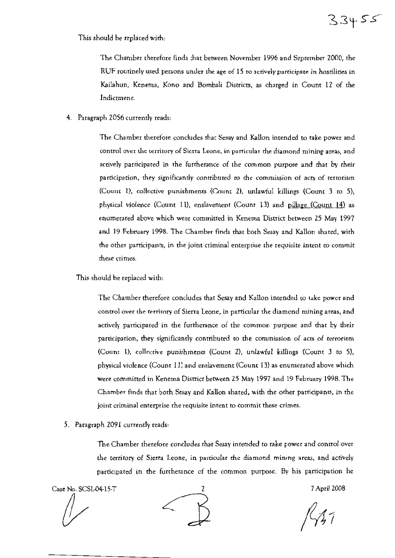This should be replaced wim:

The Chamber therefore finds :hat between November 1996 and September 2000, the RUF routinely used persons under the age of 15 to actively participate in hostilides in Kailahun, Kenema, Kono and Bombali Districts, as charged in Count 12 of the Indictment.

4. Paragraph 2056 currently reads:

The Chamber therefore concludes thar Sesay and Kallon intended to take power and control over the territory of Sierra Leone, in particular the diamond mining areas, and actively participated in the furtherance of the common purpose and that by rheir participation, they significantly contributed to the commission of acts of rertorism (Count 1), collective punishments (Count 2), unlawful killings (Count 3 to 5), physical violence (Count 11), enslavement (Count 13) and pillage (Count 14) as enumerared above which were committed in Kenema District between 25 May 1997 and 19 February 1998. The Chamber finds that both Sesay and Kallon shated, with the other participants, in the joint criminal enterprise the requisite intent to commit these crimes.

This should be replaced with:

The Chamber therefore concludes that Sesay and Kallon intended to take power and control over the terrirory of Sierra Leone, in particular the diamond mining areas, and actively parricipated in the furtherance of the common purpose and mar by their participarion, they significantly contributed to the commission of acts of terrorism (COUnt 1), collenive punhhmeoc; (Count Z), unlawful killings (Count 3 to 5), physical violence (Count 11) and enslavement (Count 13) as enumerated above which were committed in Kenetna District between 25 May 1997 and 19 February 1998. The Chamber finds that both Sesay and Kallon shated, with the other participants, in the joint criminal enterprise rhe requisite inrent to commit these crimes.

5. Paragraph 2091 currently reads:

The Chamber therefore concludes rhat Sesay intended to take power and control over the territory of Sierta Leone, in particular the diamond mining areas, and actively participated in the furtherance of the common purpose. By his participarion he

Case No. SCSLD+15-T 7April 2008

 $33455$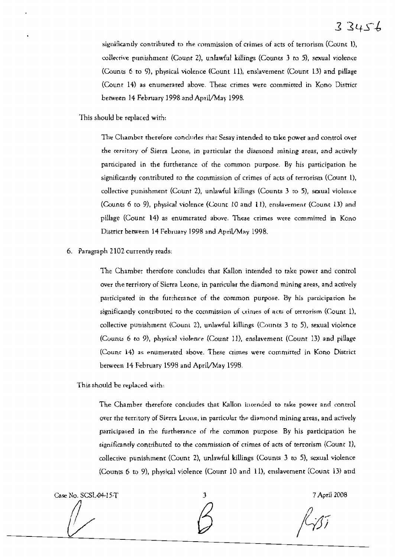significantly contributed to the commission of crimes of acts of terrorism (Count 1), collective punishment (Count Z), unlawful killings (Counts 3 to 5), sexual violence (Counts 6 to 9), physical violence (Count 11), enslavement (CoUnt 13) and piUage (Count 14) as enumerated above. These crimes were committed in Kono District between 14 February 1998 and April/May 1998.

This should be replaced with:

The Chamber therefore concludes that Sesay intended to take power and control over the territory of Sietra Leone, in particular the diamond mining areas, and actively participated in the furtherance of the common purpose. By his participation he significantly contributed to the commission of crimes of acts of terrorism (Coum 1), collective punishment (Count 2), unlawful killings (Counts  $\bar{3}$  to 5), sexual violence (Counts 6 to 9), physical violence (Coune 10 and 11), emlavement (Count 13) and pillage (Count 14) as enumerated above. These crimes were commirred in Kano Districr between 14 February 1998 and April/May 1998.

6. Paragraph 2102 currently reads:

The Chamber therefore concludes thar Kallon intended to take power and control over the rerritory of Sierra Leone, in particular the diamond mining areas, and actively participated in the furtherance of the common purpose. By his participation he significantly contributed to the commission of crimes of acts of terrorism (Count 1), collective putishment (Count 2), unlawful killings (Counts 3 to 5), sexual violence (Counts 6 to 9), physical violence (Count 11), enslavement (Count 13) and pillage (Count 14) as enumerated above. These crimes were committed in Kono District between 14 February 1998 and April/May 1998.

This should be replaced with:

The Chamber therefore concludes that Kallon intended to take power and control over rhe territory of Sierra Leune, in particular the diamond mining areas, and actively participated in rhe furtherance of rhe common purpose. By his participation he significantly contributed to the commission of crimes of acts of terrorism (Count 1), collective punishment (Count 2), unlawful killings (Counts 3 to 5), sexual violence (Counts 6 to 9), physical violence (Count 10 and 11), enslavement (Count 13) and

Case No. SCSL.Q4-15-T J 7April *2008*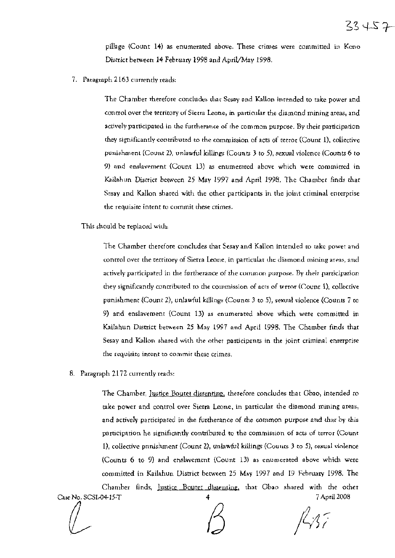pillage (Count 14) as enumerated above. These crimes were committed in Keno District between 14 February 1998 and April/May 1998.

7. Paragraph 2163 currently reads:

The Chamber therefore concludes that Sesay and Kallon intended to take power and control over the territory of Sierra Leone, in particular the diamond mining areas, and actively participated in the furtherance of the common purpose. By their participation they significantly contributed to the commission of acts of tetror (Count 1), collective punishment (Count 2), unlawful killings (Counts 3 to 5), sexual violence (Counts 6 to 9) and enslavement (Count 13) as enumerated above which were committed in Kailahun District between 25 May 1997 and April 1998. The Chamber finds that Sesay and Kallon shared with the other participants in the joint criminal enterprise the requisire intent to commit these crimes.

This should be replaced with.

The Chamber therefore concludes that Sesay and Kallon intended to take powet and control over the tetritory of Sierra Leone, in particular the diamond mining areas, and actively participated in the furtherance of the common purpose. By their participation they significantly contributed to the commission of acts of terror (Count 1), collective punishment (Count 2), unlawful killings (Counts 3 to 5), sexual violence (Counts 7 to 9) and enslavement (Count 13) as enumerated above which were committed in Kailahun District between 25 May 1997 and April 1998. The Chamber finds that Sesay and Kallon shared with the other participants in the joint criminal enrerprise the requisite intent to commit these crimes.

8. Paragraph 2172 currently reads:

The Chamber, Justice Boutet dissenting, therefore concludes that Gbao, intended to take power and control over Sierra Leone, in particular the diamond mining areas, and actively participated in the furtherance of the common purpose and that by this participation he significantly contributed to the commission of acts of terror (Count 1), collective pnnishment (Count 2), unlawful killings (Counts 3 to 5), sexual violence (Counts 6 to 9) and enslavement (Count 13) as enumerated above which were committed in Kailahun District between 25 May 1997 and 19 February 1998. The Chamber finds, Justice Bouter dissenting, that Gbao shared with the other Case No. SCSL04-15-T 7 April 2008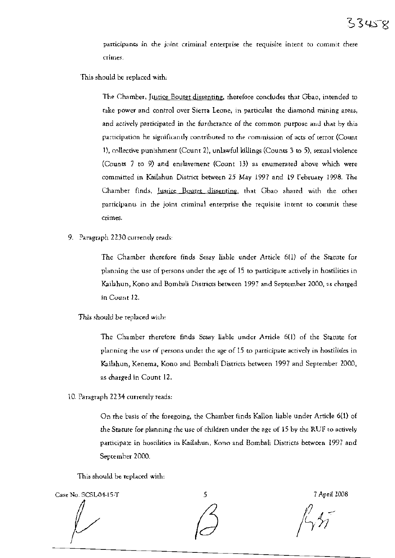## $33458$

participants in the joint criminal enterprise the requisite intent to commit these crimes.

This should be replaced wirh:

The Chamber, Justice Bouret dissenting, rherefore concludes that Gbao, intended to rake power and control over Sierta Leone, in particular the diamond mining areas, and actively participated in the furthetance of the common purpose and that by this participation he significantly contributed ro the commission of acts of terror (Count 1), collective punishmenr (Count 2), unlawful killings (Counts 3 to 5), sexual violence (Counts  $7$  to  $9$ ) and enslavement (Count 13) as enumerated above which were committed in Kailahun District between 25 May 1997 and 19 February 1998. The Chamber finds, Justice Bouret dissenting, that Gbao shared with the other participants in the joint criminal enterprise the requisite intent to commil these crimes.

9. Paragraph 2230 currently reads:

The Chamber therefore finds Sesay liable under Article 6(1) of the Statute for planning the use of persons under the age of 15 to participare actively in hostilities in Kailahun, Kono and Bombali Districts between 1997 and September 2000, as charged in Cuunt 12.

*This should* be replaced with:

The Chamber rherefore finds Sesay liable under Article 6(1) of the Statute for planning the use of persons under the age of 15 to participate actively in hostilities in Kailahun, Kenema, Kono and Bombali Districts between 1997 and September 2000, as charged in Count 12.

10. Paragraph 2234 currently reads:

On rhe basis of rhe foregoing, the Chamber finds Kallon liable under Article 6(1) of the Statute for planning the use of children under the age of 15 by the RUF to actively participate in hostilities in Kailahun, Kono and Bombali Districts between 1997 and September 2000.

This should be replaced with:

Case No. SCSL-04-15-T 5 7 April 2008